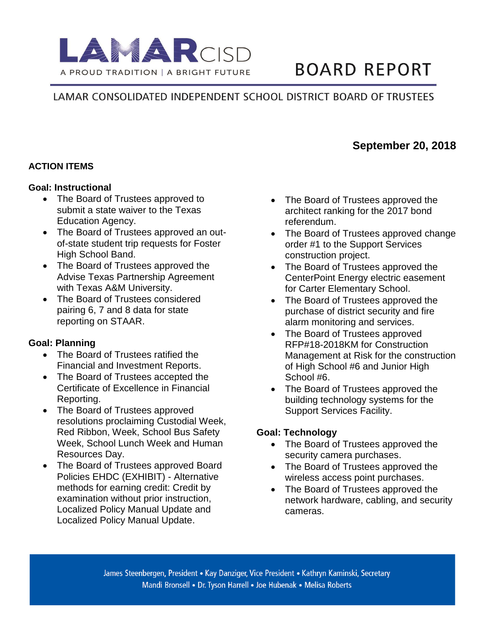

# **BOARD REPORT**

**September 20, 2018**

## LAMAR CONSOLIDATED INDEPENDENT SCHOOL DISTRICT BOARD OF TRUSTEES

#### **ACTION ITEMS**

#### **Goal: Instructional**

- The Board of Trustees approved to submit a state waiver to the Texas Education Agency.
- The Board of Trustees approved an outof-state student trip requests for Foster High School Band.
- The Board of Trustees approved the Advise Texas Partnership Agreement with Texas A&M University.
- The Board of Trustees considered pairing 6, 7 and 8 data for state reporting on STAAR.

#### **Goal: Planning**

- The Board of Trustees ratified the Financial and Investment Reports.
- The Board of Trustees accepted the Certificate of Excellence in Financial Reporting.
- The Board of Trustees approved resolutions proclaiming Custodial Week, Red Ribbon, Week, School Bus Safety Week, School Lunch Week and Human Resources Day.
- The Board of Trustees approved Board Policies EHDC (EXHIBIT) - Alternative methods for earning credit: Credit by examination without prior instruction, Localized Policy Manual Update and Localized Policy Manual Update.
- The Board of Trustees approved the architect ranking for the 2017 bond referendum.
- The Board of Trustees approved change order #1 to the Support Services construction project.
- The Board of Trustees approved the CenterPoint Energy electric easement for Carter Elementary School.
- The Board of Trustees approved the purchase of district security and fire alarm monitoring and services.
- The Board of Trustees approved RFP#18-2018KM for Construction Management at Risk for the construction of High School #6 and Junior High School #6.
- The Board of Trustees approved the building technology systems for the Support Services Facility.

#### **Goal: Technology**

- The Board of Trustees approved the security camera purchases.
- The Board of Trustees approved the wireless access point purchases.
- The Board of Trustees approved the network hardware, cabling, and security cameras.

James Steenbergen, President • Kay Danziger, Vice President • Kathryn Kaminski, Secretary Mandi Bronsell • Dr. Tyson Harrell • Joe Hubenak • Melisa Roberts